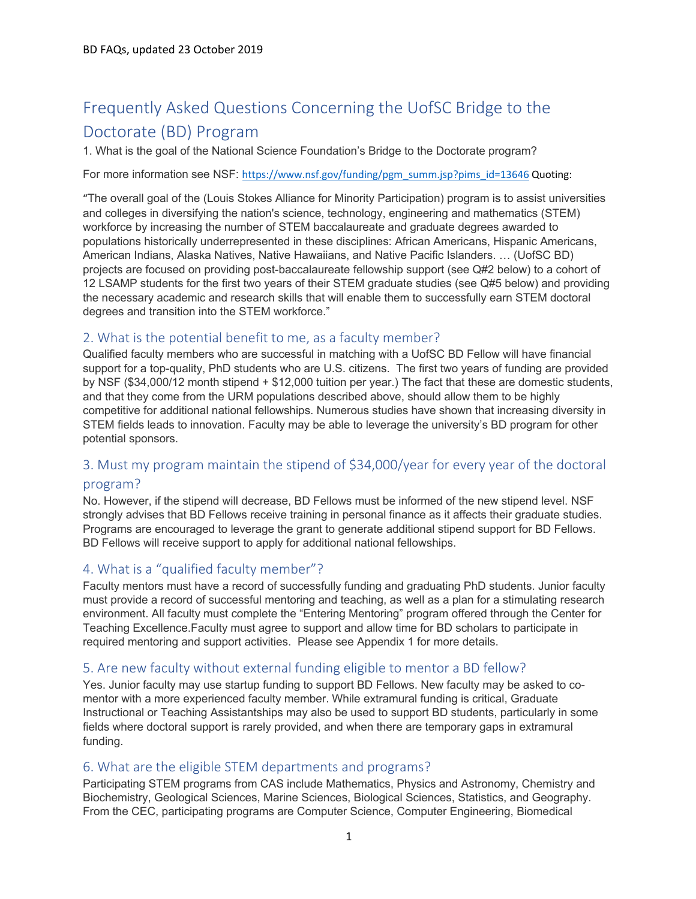# Frequently Asked Questions Concerning the UofSC Bridge to the Doctorate (BD) Program

1. What is the goal of the National Science Foundation's Bridge to the Doctorate program?

For more information see NSF: https://www.nsf.gov/funding/pgm\_summ.jsp?pims\_id=13646 Quoting:

"The overall goal of the (Louis Stokes Alliance for Minority Participation) program is to assist universities and colleges in diversifying the nation's science, technology, engineering and mathematics (STEM) workforce by increasing the number of STEM baccalaureate and graduate degrees awarded to populations historically underrepresented in these disciplines: African Americans, Hispanic Americans, American Indians, Alaska Natives, Native Hawaiians, and Native Pacific Islanders. … (UofSC BD) projects are focused on providing post-baccalaureate fellowship support (see Q#2 below) to a cohort of 12 LSAMP students for the first two years of their STEM graduate studies (see Q#5 below) and providing the necessary academic and research skills that will enable them to successfully earn STEM doctoral degrees and transition into the STEM workforce."

## 2. What is the potential benefit to me, as a faculty member?

Qualified faculty members who are successful in matching with a UofSC BD Fellow will have financial support for a top-quality, PhD students who are U.S. citizens. The first two years of funding are provided by NSF (\$34,000/12 month stipend + \$12,000 tuition per year.) The fact that these are domestic students, and that they come from the URM populations described above, should allow them to be highly competitive for additional national fellowships. Numerous studies have shown that increasing diversity in STEM fields leads to innovation. Faculty may be able to leverage the university's BD program for other potential sponsors.

## 3. Must my program maintain the stipend of \$34,000/year for every year of the doctoral

#### program?

No. However, if the stipend will decrease, BD Fellows must be informed of the new stipend level. NSF strongly advises that BD Fellows receive training in personal finance as it affects their graduate studies. Programs are encouraged to leverage the grant to generate additional stipend support for BD Fellows. BD Fellows will receive support to apply for additional national fellowships.

# 4. What is a "qualified faculty member"?

Faculty mentors must have a record of successfully funding and graduating PhD students. Junior faculty must provide a record of successful mentoring and teaching, as well as a plan for a stimulating research environment. All faculty must complete the "Entering Mentoring" program offered through the Center for Teaching Excellence.Faculty must agree to support and allow time for BD scholars to participate in required mentoring and support activities. Please see Appendix 1 for more details.

# 5. Are new faculty without external funding eligible to mentor a BD fellow?

Yes. Junior faculty may use startup funding to support BD Fellows. New faculty may be asked to comentor with a more experienced faculty member. While extramural funding is critical, Graduate Instructional or Teaching Assistantships may also be used to support BD students, particularly in some fields where doctoral support is rarely provided, and when there are temporary gaps in extramural funding.

## 6. What are the eligible STEM departments and programs?

Participating STEM programs from CAS include Mathematics, Physics and Astronomy, Chemistry and Biochemistry, Geological Sciences, Marine Sciences, Biological Sciences, Statistics, and Geography. From the CEC, participating programs are Computer Science, Computer Engineering, Biomedical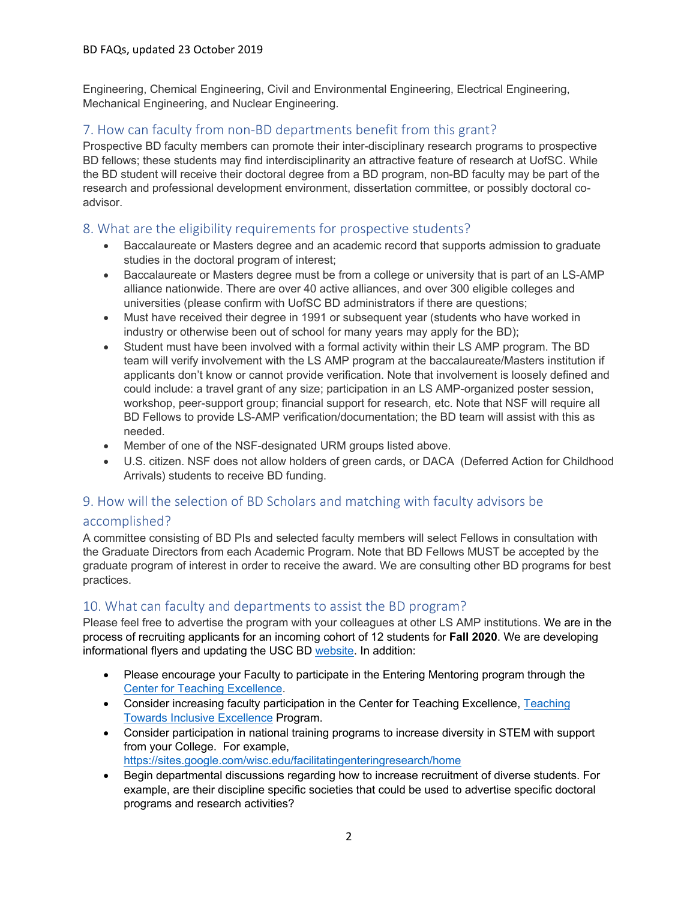Engineering, Chemical Engineering, Civil and Environmental Engineering, Electrical Engineering, Mechanical Engineering, and Nuclear Engineering.

# 7. How can faculty from non-BD departments benefit from this grant?

Prospective BD faculty members can promote their inter-disciplinary research programs to prospective BD fellows; these students may find interdisciplinarity an attractive feature of research at UofSC. While the BD student will receive their doctoral degree from a BD program, non-BD faculty may be part of the research and professional development environment, dissertation committee, or possibly doctoral coadvisor.

## 8. What are the eligibility requirements for prospective students?

- Baccalaureate or Masters degree and an academic record that supports admission to graduate studies in the doctoral program of interest;
- Baccalaureate or Masters degree must be from a college or university that is part of an LS-AMP alliance nationwide. There are over 40 active alliances, and over 300 eligible colleges and universities (please confirm with UofSC BD administrators if there are questions;
- Must have received their degree in 1991 or subsequent year (students who have worked in industry or otherwise been out of school for many years may apply for the BD);
- Student must have been involved with a formal activity within their LS AMP program. The BD team will verify involvement with the LS AMP program at the baccalaureate/Masters institution if applicants don't know or cannot provide verification. Note that involvement is loosely defined and could include: a travel grant of any size; participation in an LS AMP-organized poster session, workshop, peer-support group; financial support for research, etc. Note that NSF will require all BD Fellows to provide LS-AMP verification/documentation; the BD team will assist with this as needed.
- Member of one of the NSF-designated URM groups listed above.
- U.S. citizen. NSF does not allow holders of green cards, or DACA (Deferred Action for Childhood Arrivals) students to receive BD funding.

# 9. How will the selection of BD Scholars and matching with faculty advisors be

## accomplished?

A committee consisting of BD PIs and selected faculty members will select Fellows in consultation with the Graduate Directors from each Academic Program. Note that BD Fellows MUST be accepted by the graduate program of interest in order to receive the award. We are consulting other BD programs for best practices.

# 10. What can faculty and departments to assist the BD program?

Please feel free to advertise the program with your colleagues at other LS AMP institutions. We are in the process of recruiting applicants for an incoming cohort of 12 students for **Fall 2020**. We are developing informational flyers and updating the USC BD website. In addition:

- Please encourage your Faculty to participate in the Entering Mentoring program through the Center for Teaching Excellence.
- Consider increasing faculty participation in the Center for Teaching Excellence, Teaching Towards Inclusive Excellence Program.
- Consider participation in national training programs to increase diversity in STEM with support from your College. For example, https://sites.google.com/wisc.edu/facilitatingenteringresearch/home
- Begin departmental discussions regarding how to increase recruitment of diverse students. For example, are their discipline specific societies that could be used to advertise specific doctoral programs and research activities?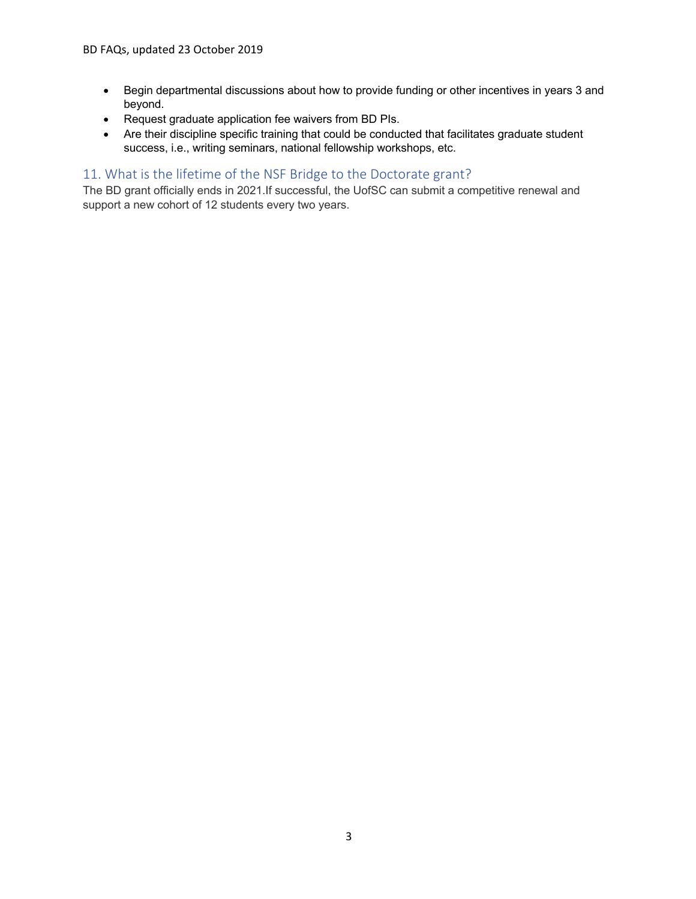- Begin departmental discussions about how to provide funding or other incentives in years 3 and beyond.
- Request graduate application fee waivers from BD PIs.
- Are their discipline specific training that could be conducted that facilitates graduate student success, i.e., writing seminars, national fellowship workshops, etc.

# 11. What is the lifetime of the NSF Bridge to the Doctorate grant?

The BD grant officially ends in 2021.If successful, the UofSC can submit a competitive renewal and support a new cohort of 12 students every two years.